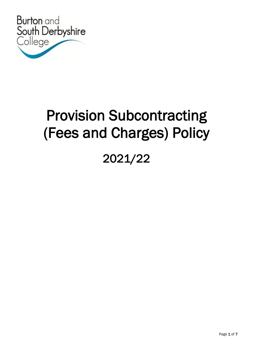

# Provision Subcontracting (Fees and Charges) Policy

## 2021/22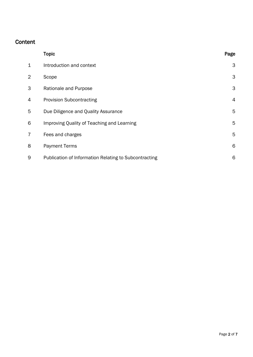### Content

|                | <b>Topic</b>                                          | Page           |
|----------------|-------------------------------------------------------|----------------|
| 1              | Introduction and context                              | 3              |
| $\overline{2}$ | Scope                                                 | 3              |
| 3              | Rationale and Purpose                                 | 3              |
| 4              | <b>Provision Subcontracting</b>                       | $\overline{4}$ |
| 5              | Due Diligence and Quality Assurance                   | 5              |
| 6              | Improving Quality of Teaching and Learning            | 5              |
| 7              | Fees and charges                                      | 5              |
| 8              | <b>Payment Terms</b>                                  | 6              |
| 9              | Publication of Information Relating to Subcontracting | 6              |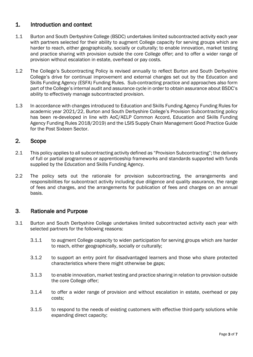#### 1. Introduction and context

- 1.1 Burton and South Derbyshire College (BSDC) undertakes limited subcontracted activity each year with partners selected for their ability to augment College capacity for serving groups which are harder to reach, either geographically, socially or culturally; to enable innovation, market testing and practice sharing with provision outside the core College offer; and to offer a wider range of provision without escalation in estate, overhead or pay costs.
- 1.2 The College's Subcontracting Policy is revised annually to reflect Burton and South Derbyshire College's drive for continual improvement and external changes set out by the Education and Skills Funding Agency (ESFA) Funding Rules. Sub-contracting practice and approaches also form part of the College's internal audit and assurance cycle in order to obtain assurance about BSDC's ability to effectively manage subcontracted provision.
- 1.3 In accordance with changes introduced to Education and Skills Funding Agency Funding Rules for academic year 2021/22, Burton and South Derbyshire College's Provision Subcontracting policy has been re-developed in line with AoC/AELP Common Accord, Education and Skills Funding Agency Funding Rules 2018/2019) and the LSIS Supply Chain Management Good Practice Guide for the Post Sixteen Sector.

#### 2. Scope

- 2.1 This policy applies to all subcontracting activity defined as "Provision Subcontracting"; the delivery of full or partial programmes or apprenticeship frameworks and standards supported with funds supplied by the Education and Skills Funding Agency.
- 2.2 The policy sets out the rationale for provision subcontracting, the arrangements and responsibilities for subcontract activity including due diligence and quality assurance, the range of fees and charges, and the arrangements for publication of fees and charges on an annual basis.

#### 3. Rationale and Purpose

- 3.1 Burton and South Derbyshire College undertakes limited subcontracted activity each year with selected partners for the following reasons:
	- 3.1.1 to augment College capacity to widen participation for serving groups which are harder to reach, either geographically, socially or culturally;
	- 3.1.2 to support an entry point for disadvantaged learners and those who share protected characteristics where there might otherwise be gaps;
	- 3.1.3 to enable innovation, market testing and practice sharing in relation to provision outside the core College offer;
	- 3.1.4 to offer a wider range of provision and without escalation in estate, overhead or pay costs;
	- 3.1.5 to respond to the needs of existing customers with effective third-party solutions while expanding direct capacity;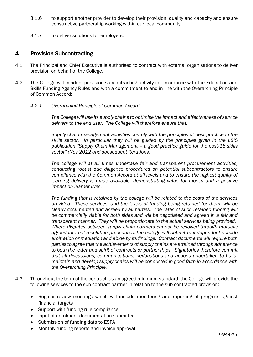- 3.1.6 to support another provider to develop their provision, quality and capacity and ensure constructive partnership working within our local community;
- 3.1.7 to deliver solutions for employers.

#### 4. Provision Subcontracting

- 4.1 The Principal and Chief Executive is authorised to contract with external organisations to deliver provision on behalf of the College.
- 4.2 The College will conduct provision subcontracting activity in accordance with the Education and Skills Funding Agency Rules and with a commitment to and in line with the Overarching Principle of Common Accord:
	- *4.2.1 Overarching Principle of Common Accord*

*The College will use its supply chains to optimise the impact and effectiveness of service delivery to the end user. The College will therefore ensure that:*

*Supply chain management activities comply with the principles of best practice in the skills sector. In particular they will be guided by the principles given in the LSIS publication "Supply Chain Management – a good practice guide for the post-16 skills sector" (Nov 2012 and subsequent iterations)*

*The college will at all times undertake fair and transparent procurement activities, conducting robust due diligence procedures on potential subcontractors to ensure compliance with the Common Accord at all levels and to ensure the highest quality of*  learning delivery is made available, demonstrating value for money and a positive *impact on learner lives.*

*The funding that is retained by the college will be related to the costs of the services provided. These services, and the levels of funding being retained for them, will be clearly documented and agreed by all parties. The rates of such retained funding will be commercially viable for both sides and will be negotiated and agreed in a fair and transparent manner. They will be proportionate to the actual services being provided. Where disputes between supply chain partners cannot be resolved through mutually agreed internal resolution procedures, the college will submit to independent outside arbitration or mediation and abide by its findings. Contract documents will require both parties to agree that the achievements of supply chains are attained through adherence to both the letter and spirit of contracts or partnerships. Signatories therefore commit that all discussions, communications, negotiations and actions undertaken to build, maintain and develop supply chains will be conducted in good faith in accordance with the Overarching Principle.*

- 4.3 Throughout the term of the contract, as an agreed minimum standard, the College will provide the following services to the sub-contract partner in relation to the sub-contracted provision:
	- Regular review meetings which will include monitoring and reporting of progress against financial targets
	- Support with funding rule compliance
	- Input of enrolment documentation submitted
	- Submission of funding data to ESFA
	- Monthly funding reports and invoice approval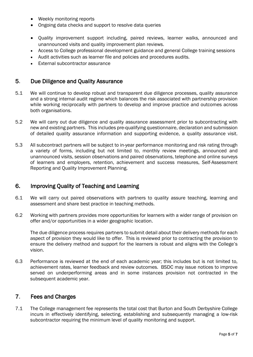- Weekly monitoring reports
- Ongoing data checks and support to resolve data queries
- Quality improvement support including, paired reviews, learner walks, announced and unannounced visits and quality improvement plan reviews.
- Access to College professional development guidance and general College training sessions
- Audit activities such as learner file and policies and procedures audits.
- External subcontractor assurance

#### 5. Due Diligence and Quality Assurance

- 5.1 We will continue to develop robust and transparent due diligence processes, quality assurance and a strong internal audit regime which balances the risk associated with partnership provision while working reciprocally with partners to develop and improve practice and outcomes across both organisations.
- 5.2 We will carry out due diligence and quality assurance assessment prior to subcontracting with new and existing partners. This includes pre-qualifying questionnaire, declaration and submission of detailed quality assurance information and supporting evidence, a quality assurance visit.
- 5.3 All subcontract partners will be subject to in-year performance monitoring and risk rating through a variety of forms, including but not limited to, monthly review meetings, announced and unannounced visits, session observations and paired observations, telephone and online surveys of learners and employers, retention, achievement and success measures, Self-Assessment Reporting and Quality Improvement Planning.

#### 6. Improving Quality of Teaching and Learning

- 6.1 We will carry out paired observations with partners to quality assure teaching, learning and assessment and share best practice in teaching methods.
- 6.2 Working with partners provides more opportunities for learners with a wider range of provision on offer and/or opportunities in a wider geographic location.

The due diligence process requires partners to submit detail about their delivery methods for each aspect of provision they would like to offer. This is reviewed prior to contracting the provision to ensure the delivery method and support for the learners is robust and aligns with the College's vision.

6.3 Performance is reviewed at the end of each academic year; this includes but is not limited to, achievement rates, learner feedback and review outcomes. BSDC may issue notices to improve served on underperforming areas and in some instances provision not contracted in the subsequent academic year.

#### 7. Fees and Charges

7.1 The College management fee represents the total cost that Burton and South Derbyshire College incurs in effectively identifying, selecting, establishing and subsequently managing a low-risk subcontractor requiring the minimum level of quality monitoring and support.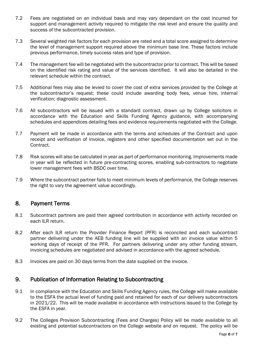- 7.2 Fees are negotiated on an individual basis and may vary dependant on the cost incurred for support and management activity required to mitigate the risk level and ensure the quality and success of the subcontracted provision.
- 7.3 Several weighted risk factors for each provision are rated and a total score assigned to determine the level of management support required above the minimum base line. These factors include previous performance, timely success rates and type of provision.
- 7.4 The management fee will be negotiated with the subcontractor prior to contract. This will be based on the identified risk rating and value of the services identified. It will also be detailed in the relevant schedule within the contract.
- 7.5 Additional fees may also be levied to cover the cost of extra services provided by the College at the subcontractor's request; these could include awarding body fees, venue hire, internal verification; diagnostic assessment.
- 7.6 All subcontractors will be issued with a standard contract, drawn up by College solicitors in accordance with the Education and Skills Funding Agency guidance, with accompanying schedules and appendices detailing fees and evidence requirements negotiated with the College.
- 7.7 Payment will be made in accordance with the terms and schedules of the Contract and upon receipt and verification of invoice, registers and other specified documentation set out in the Contract.
- 7.8 Risk scores will also be calculated in year as part of performance monitoring. Improvements made in year will be reflected in future pre-contracting scores, enabling sub-contractors to negotiate lower management fees with BSDC over time.
- 7.9 Where the subcontract partner fails to meet minimum levels of performance, the College reserves the right to vary the agreement value accordingly.

#### 8. Payment Terms

- 8.1 Subcontract partners are paid their agreed contribution in accordance with activity recorded on each ILR return.
- 8.2 After each ILR return the Provider Finance Report (PFR) is reconciled and each subcontract partner delivering under the AEB funding line will be supplied with an invoice value within 5 working days of receipt of the PFR. For partners delivering under any other funding stream, invoicing schedules are negotiated and advised in accordance with the agreed schedule.
- 8.3 Invoices are paid on 30 days terms from the date supplied on the invoice.

#### 9. Publication of Information Relating to Subcontracting

- 9.1 In compliance with the Education and Skills Funding Agency rules, the College will make available to the ESFA the actual level of funding paid and retained for each of our delivery subcontractors in 2021/22. This will be made available in accordance with instructions issued to the College by the ESFA in year.
- 9.2 The Colleges Provision Subcontracting (Fees and Charges) Policy will be made available to all existing and potential subcontractors on the College website and on request. The policy will be